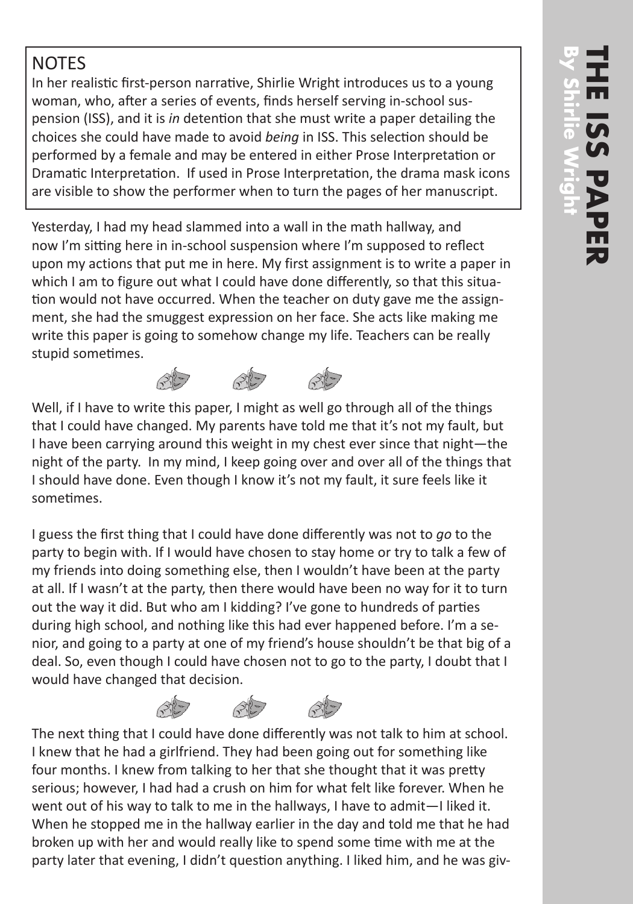## **NOTES**

In her realistic first-person narrative, Shirlie Wright introduces us to a young woman, who, after a series of events, finds herself serving in-school suspension (ISS), and it is *in* detention that she must write a paper detailing the choices she could have made to avoid *being* in ISS. This selection should be performed by a female and may be entered in either Prose Interpretation or Dramatic Interpretation. If used in Prose Interpretation, the drama mask icons are visible to show the performer when to turn the pages of her manuscript.

Yesterday, I had my head slammed into a wall in the math hallway, and now I'm sitting here in in-school suspension where I'm supposed to reflect upon my actions that put me in here. My first assignment is to write a paper in which I am to figure out what I could have done differently, so that this situation would not have occurred. When the teacher on duty gave me the assignment, she had the smuggest expression on her face. She acts like making me write this paper is going to somehow change my life. Teachers can be really stupid sometimes.

Well, if I have to write this paper, I might as well go through all of the things that I could have changed. My parents have told me that it's not my fault, but I have been carrying around this weight in my chest ever since that night—the night of the party. In my mind, I keep going over and over all of the things that I should have done. Even though I know it's not my fault, it sure feels like it sometimes.

I guess the first thing that I could have done differently was not to *go* to the party to begin with. If I would have chosen to stay home or try to talk a few of my friends into doing something else, then I wouldn't have been at the party at all. If I wasn't at the party, then there would have been no way for it to turn out the way it did. But who am I kidding? I've gone to hundreds of parties during high school, and nothing like this had ever happened before. I'm a senior, and going to a party at one of my friend's house shouldn't be that big of a deal. So, even though I could have chosen not to go to the party, I doubt that I would have changed that decision.

 $\mathcal{F}^*$ The next thing that I could have done differently was not talk to him at school. I knew that he had a girlfriend. They had been going out for something like four months. I knew from talking to her that she thought that it was pretty serious; however, I had had a crush on him for what felt like forever. When he went out of his way to talk to me in the hallways, I have to admit—I liked it. When he stopped me in the hallway earlier in the day and told me that he had broken up with her and would really like to spend some time with me at the party later that evening, I didn't question anything. I liked him, and he was giv